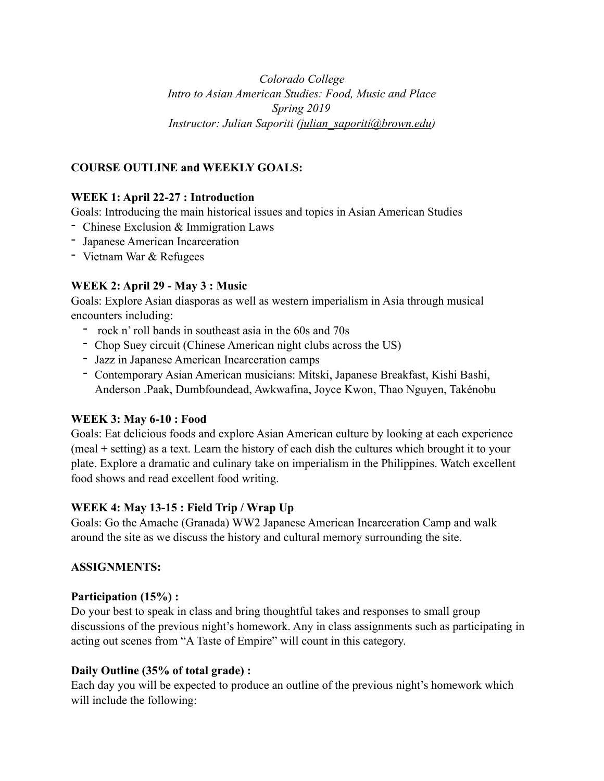*Colorado College Intro to Asian American Studies: Food, Music and Place Spring 2019 Instructor: Julian Saporiti [\(julian\\_saporiti@brown.edu](mailto:julian_saporiti@brown.edu))* 

# **COURSE OUTLINE and WEEKLY GOALS:**

## **WEEK 1: April 22-27 : Introduction**

Goals: Introducing the main historical issues and topics in Asian American Studies

- Chinese Exclusion & Immigration Laws
- Japanese American Incarceration
- Vietnam War & Refugees

## **WEEK 2: April 29 - May 3 : Music**

Goals: Explore Asian diasporas as well as western imperialism in Asia through musical encounters including:

- rock n' roll bands in southeast asia in the 60s and 70s
- Chop Suey circuit (Chinese American night clubs across the US)
- Jazz in Japanese American Incarceration camps
- Contemporary Asian American musicians: Mitski, Japanese Breakfast, Kishi Bashi, Anderson .Paak, Dumbfoundead, Awkwafina, Joyce Kwon, Thao Nguyen, Takénobu

## **WEEK 3: May 6-10 : Food**

Goals: Eat delicious foods and explore Asian American culture by looking at each experience (meal + setting) as a text. Learn the history of each dish the cultures which brought it to your plate. Explore a dramatic and culinary take on imperialism in the Philippines. Watch excellent food shows and read excellent food writing.

# **WEEK 4: May 13-15 : Field Trip / Wrap Up**

Goals: Go the Amache (Granada) WW2 Japanese American Incarceration Camp and walk around the site as we discuss the history and cultural memory surrounding the site.

## **ASSIGNMENTS:**

## **Participation (15%) :**

Do your best to speak in class and bring thoughtful takes and responses to small group discussions of the previous night's homework. Any in class assignments such as participating in acting out scenes from "A Taste of Empire" will count in this category.

# **Daily Outline (35% of total grade) :**

Each day you will be expected to produce an outline of the previous night's homework which will include the following: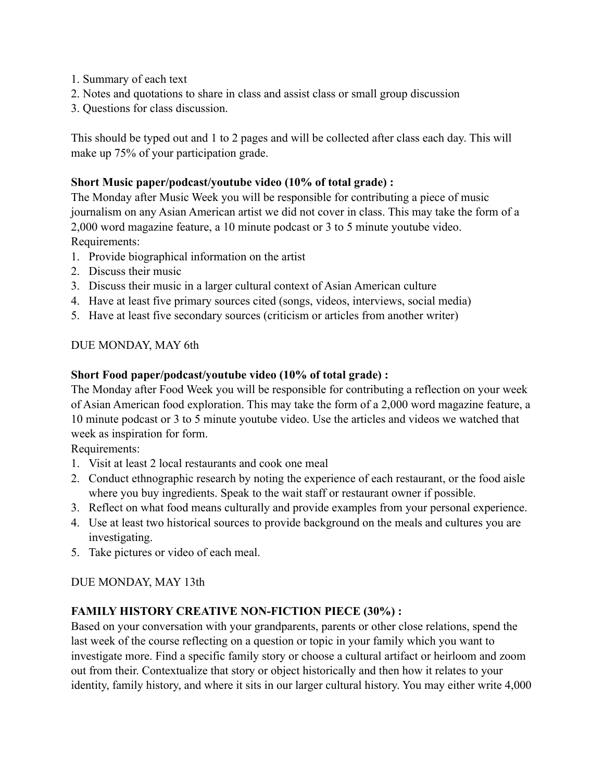- 1. Summary of each text
- 2. Notes and quotations to share in class and assist class or small group discussion
- 3. Questions for class discussion.

This should be typed out and 1 to 2 pages and will be collected after class each day. This will make up 75% of your participation grade.

## **Short Music paper/podcast/youtube video (10% of total grade) :**

The Monday after Music Week you will be responsible for contributing a piece of music journalism on any Asian American artist we did not cover in class. This may take the form of a 2,000 word magazine feature, a 10 minute podcast or 3 to 5 minute youtube video. Requirements:

- 1. Provide biographical information on the artist
- 2. Discuss their music
- 3. Discuss their music in a larger cultural context of Asian American culture
- 4. Have at least five primary sources cited (songs, videos, interviews, social media)
- 5. Have at least five secondary sources (criticism or articles from another writer)

## DUE MONDAY, MAY 6th

## **Short Food paper/podcast/youtube video (10% of total grade) :**

The Monday after Food Week you will be responsible for contributing a reflection on your week of Asian American food exploration. This may take the form of a 2,000 word magazine feature, a 10 minute podcast or 3 to 5 minute youtube video. Use the articles and videos we watched that week as inspiration for form.

Requirements:

- 1. Visit at least 2 local restaurants and cook one meal
- 2. Conduct ethnographic research by noting the experience of each restaurant, or the food aisle where you buy ingredients. Speak to the wait staff or restaurant owner if possible.
- 3. Reflect on what food means culturally and provide examples from your personal experience.
- 4. Use at least two historical sources to provide background on the meals and cultures you are investigating.
- 5. Take pictures or video of each meal.

## DUE MONDAY, MAY 13th

## **FAMILY HISTORY CREATIVE NON-FICTION PIECE (30%) :**

Based on your conversation with your grandparents, parents or other close relations, spend the last week of the course reflecting on a question or topic in your family which you want to investigate more. Find a specific family story or choose a cultural artifact or heirloom and zoom out from their. Contextualize that story or object historically and then how it relates to your identity, family history, and where it sits in our larger cultural history. You may either write 4,000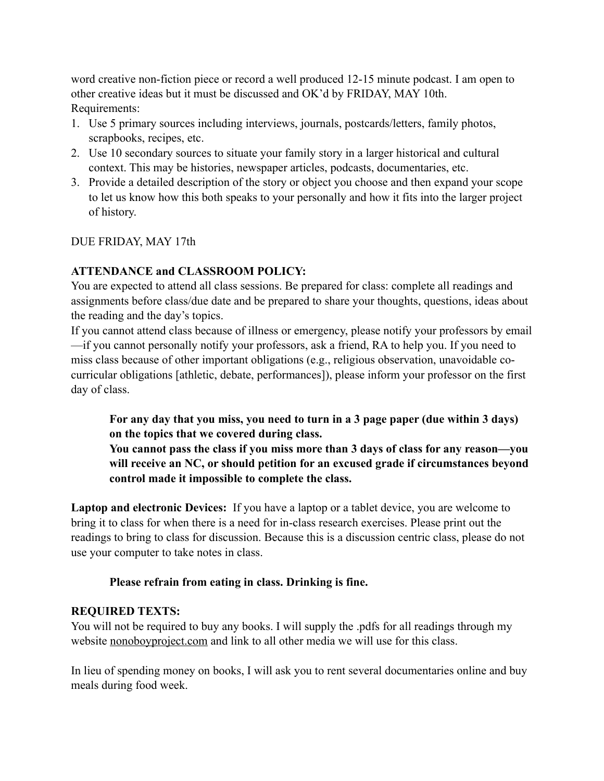word creative non-fiction piece or record a well produced 12-15 minute podcast. I am open to other creative ideas but it must be discussed and OK'd by FRIDAY, MAY 10th. Requirements:

- 1. Use 5 primary sources including interviews, journals, postcards/letters, family photos, scrapbooks, recipes, etc.
- 2. Use 10 secondary sources to situate your family story in a larger historical and cultural context. This may be histories, newspaper articles, podcasts, documentaries, etc.
- 3. Provide a detailed description of the story or object you choose and then expand your scope to let us know how this both speaks to your personally and how it fits into the larger project of history.

## DUE FRIDAY, MAY 17th

# **ATTENDANCE and CLASSROOM POLICY:**

You are expected to attend all class sessions. Be prepared for class: complete all readings and assignments before class/due date and be prepared to share your thoughts, questions, ideas about the reading and the day's topics.

If you cannot attend class because of illness or emergency, please notify your professors by email —if you cannot personally notify your professors, ask a friend, RA to help you. If you need to miss class because of other important obligations (e.g., religious observation, unavoidable cocurricular obligations [athletic, debate, performances]), please inform your professor on the first day of class.

**For any day that you miss, you need to turn in a 3 page paper (due within 3 days) on the topics that we covered during class.** 

**You cannot pass the class if you miss more than 3 days of class for any reason—you will receive an NC, or should petition for an excused grade if circumstances beyond control made it impossible to complete the class.** 

**Laptop and electronic Devices:** If you have a laptop or a tablet device, you are welcome to bring it to class for when there is a need for in-class research exercises. Please print out the readings to bring to class for discussion. Because this is a discussion centric class, please do not use your computer to take notes in class.

## **Please refrain from eating in class. Drinking is fine.**

# **REQUIRED TEXTS:**

You will not be required to buy any books. I will supply the .pdfs for all readings through my website [nonoboyproject.com](http://nonoboyproject.com) and link to all other media we will use for this class.

In lieu of spending money on books, I will ask you to rent several documentaries online and buy meals during food week.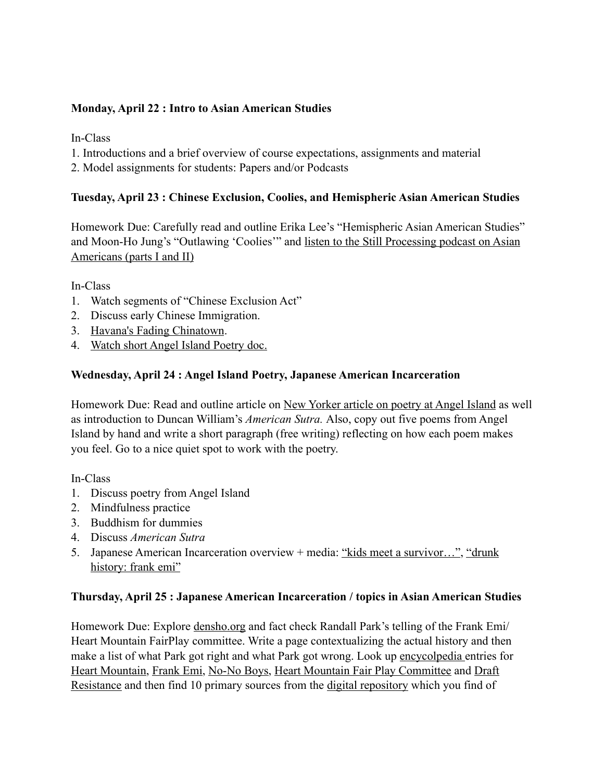## **Monday, April 22 : Intro to Asian American Studies**

In-Class

- 1. Introductions and a brief overview of course expectations, assignments and material
- 2. Model assignments for students: Papers and/or Podcasts

### **Tuesday, April 23 : Chinese Exclusion, Coolies, and Hemispheric Asian American Studies**

Homework Due: Carefully read and outline Erika Lee's "Hemispheric Asian American Studies" and Moon-Ho Jung's "Outlawing 'Coolies'" and [listen to the Still Processing podcast on Asian](https://www.nytimes.com/2018/06/28/podcasts/still-processing-asian-americans-racism.html)  [Americans \(parts I and II\)](https://www.nytimes.com/2018/06/28/podcasts/still-processing-asian-americans-racism.html)

In-Class

- 1. Watch segments of "Chinese Exclusion Act"
- 2. Discuss early Chinese Immigration.
- 3. [Havana's Fading Chinatown](https://www.youtube.com/watch?v=-V-dsK4behw).
- 4. [Watch short Angel Island Poetry doc.](https://www.youtube.com/watch?v=f_EQY-0ThOM)

## **Wednesday, April 24 : Angel Island Poetry, Japanese American Incarceration**

Homework Due: Read and outline article on [New Yorker article on poetry at Angel Island](https://www.newyorker.com/books/page-turner/the-lost-poetry-of-the-angel-island-detention-center) as well as introduction to Duncan William's *American Sutra.* Also, copy out five poems from Angel Island by hand and write a short paragraph (free writing) reflecting on how each poem makes you feel. Go to a nice quiet spot to work with the poetry.

In-Class

- 1. Discuss poetry from Angel Island
- 2. Mindfulness practice
- 3. Buddhism for dummies
- 4. Discuss *American Sutra*
- 5. Japanese American Incarceration overview + media: ["kids meet a survivor…",](https://www.youtube.com/watch?v=_e1s2kwSPwU) ["drunk](https://www.youtube.com/watch?v=aepYZlvwSno)  [history: frank emi"](https://www.youtube.com/watch?v=aepYZlvwSno)

#### **Thursday, April 25 : Japanese American Incarceration / topics in Asian American Studies**

Homework Due: Explore [densho.org](http://densho.org) and fact check Randall Park's telling of the Frank Emi/ Heart Mountain FairPlay committee. Write a page contextualizing the actual history and then make a list of what Park got right and what Park got wrong. Look up [encycolpedia e](https://encyclopedia.densho.org)ntries for [Heart Mountain](https://encyclopedia.densho.org/Heart%20Mountain/), [Frank Emi](https://encyclopedia.densho.org/Frank%20Emi/), [No-No Boys](https://encyclopedia.densho.org/No-no%20boys/), [Heart Mountain Fair Play Committee](https://encyclopedia.densho.org/Heart%20Mountain%20Fair%20Play%20Committee/) and [Draft](https://encyclopedia.densho.org/Draft%20resistance/)  [Resistance](https://encyclopedia.densho.org/Draft%20resistance/) and then find 10 primary sources from the [digital repository](http://ddr.densho.org/search/) which you find of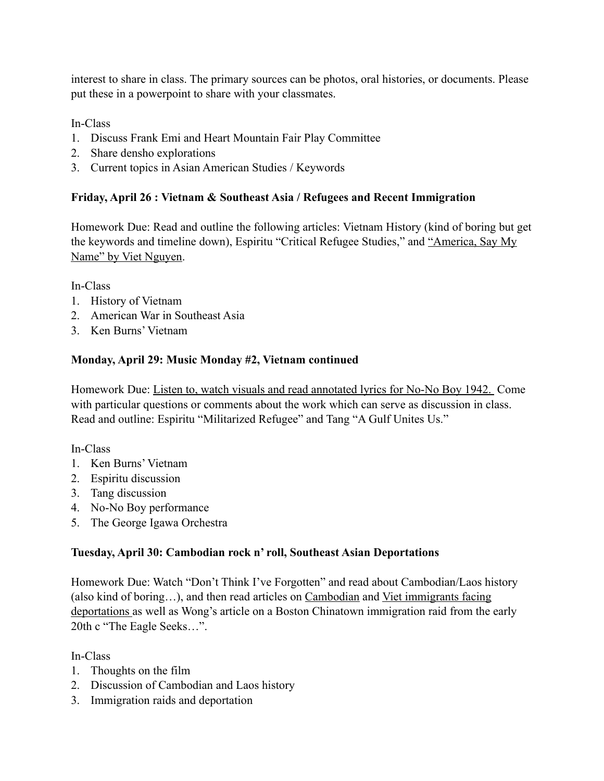interest to share in class. The primary sources can be photos, oral histories, or documents. Please put these in a powerpoint to share with your classmates.

In-Class

- 1. Discuss Frank Emi and Heart Mountain Fair Play Committee
- 2. Share densho explorations
- 3. Current topics in Asian American Studies / Keywords

# **Friday, April 26 : Vietnam & Southeast Asia / Refugees and Recent Immigration**

Homework Due: Read and outline the following articles: Vietnam History (kind of boring but get the keywords and timeline down), Espiritu "Critical Refugee Studies," and ["America, Say My](https://www.nytimes.com/2019/03/09/opinion/sunday/immigrants-refugees-names-nguyen.html)  [Name" by Viet Nguyen.](https://www.nytimes.com/2019/03/09/opinion/sunday/immigrants-refugees-names-nguyen.html)

In-Class

- 1. History of Vietnam
- 2. American War in Southeast Asia
- 3. Ken Burns' Vietnam

## **Monday, April 29: Music Monday #2, Vietnam continued**

Homework Due: [Listen to, watch visuals and read annotated lyrics for No-No Boy 1942.](https://www.nonoboyproject.com/music) Come with particular questions or comments about the work which can serve as discussion in class. Read and outline: Espiritu "Militarized Refugee" and Tang "A Gulf Unites Us."

In-Class

- 1. Ken Burns' Vietnam
- 2. Espiritu discussion
- 3. Tang discussion
- 4. No-No Boy performance
- 5. The George Igawa Orchestra

# **Tuesday, April 30: Cambodian rock n' roll, Southeast Asian Deportations**

Homework Due: Watch "Don't Think I've Forgotten" and read about Cambodian/Laos history (also kind of boring…), and then read articles on [Cambodian](https://www.latimes.com/local/lanow/la-me-cambodian-deportees-20171103-story.html) and [Viet immigrants facing](https://www.washingtonpost.com/news/morning-mix/wp/2018/03/01/vietnamese-immigrants-are-stuck-in-limbo-detained-indefinitely-lawsuit-says/?noredirect=on&utm_term=.56bd7476fe78)  [deportations](https://www.washingtonpost.com/news/morning-mix/wp/2018/03/01/vietnamese-immigrants-are-stuck-in-limbo-detained-indefinitely-lawsuit-says/?noredirect=on&utm_term=.56bd7476fe78) as well as Wong's article on a Boston Chinatown immigration raid from the early 20th c "The Eagle Seeks…".

In-Class

- 1. Thoughts on the film
- 2. Discussion of Cambodian and Laos history
- 3. Immigration raids and deportation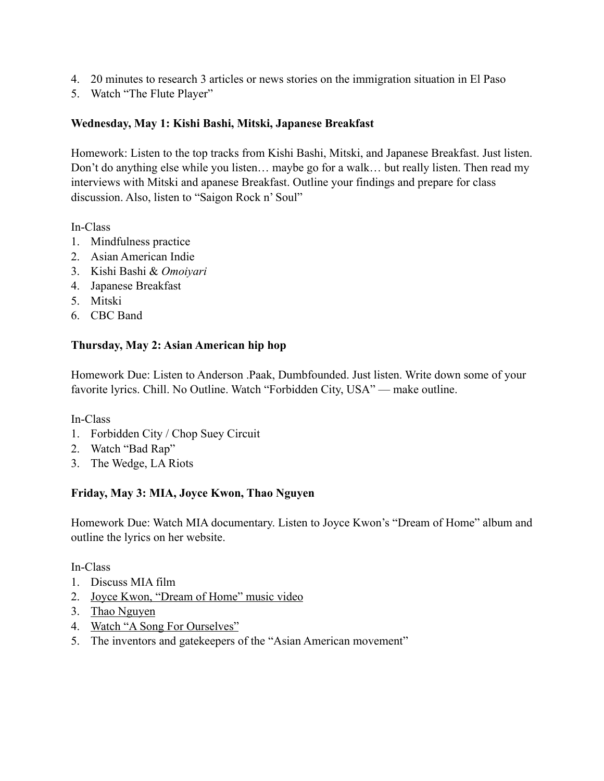- 4. 20 minutes to research 3 articles or news stories on the immigration situation in El Paso
- 5. Watch "The Flute Player"

## **Wednesday, May 1: Kishi Bashi, Mitski, Japanese Breakfast**

Homework: Listen to the top tracks from Kishi Bashi, Mitski, and Japanese Breakfast. Just listen. Don't do anything else while you listen… maybe go for a walk… but really listen. Then read my interviews with Mitski and apanese Breakfast. Outline your findings and prepare for class discussion. Also, listen to "Saigon Rock n' Soul"

In-Class

- 1. Mindfulness practice
- 2. Asian American Indie
- 3. Kishi Bashi & *Omoiyari*
- 4. Japanese Breakfast
- 5. Mitski
- 6. CBC Band

## **Thursday, May 2: Asian American hip hop**

Homework Due: Listen to Anderson .Paak, Dumbfounded. Just listen. Write down some of your favorite lyrics. Chill. No Outline. Watch "Forbidden City, USA" — make outline.

## In-Class

- 1. Forbidden City / Chop Suey Circuit
- 2. Watch "Bad Rap"
- 3. The Wedge, LA Riots

## **Friday, May 3: MIA, Joyce Kwon, Thao Nguyen**

Homework Due: Watch MIA documentary. Listen to Joyce Kwon's "Dream of Home" album and outline the lyrics on her website.

## In-Class

- 1. Discuss MIA film
- 2. [Joyce Kwon, "Dream of Home" music video](https://www.joycekwon.com/videos/)
- 3. [Thao Nguyen](https://www.youtube.com/watch?v=weAPXD8NZk0)
- 4. [Watch "A Song For Ourselves"](http://www.tadashinakamura.com/Tadashi_Nakamura/A_Song_For_Ourselves.html)
- 5. The inventors and gatekeepers of the "Asian American movement"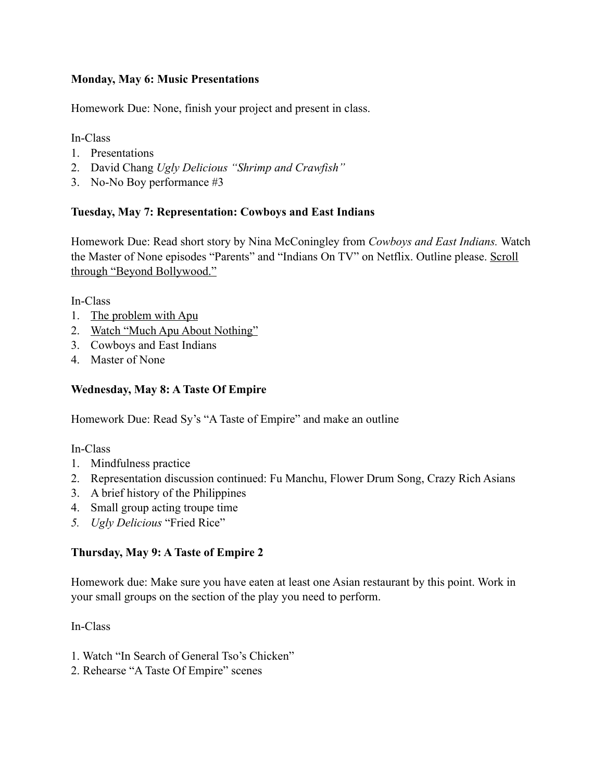## **Monday, May 6: Music Presentations**

Homework Due: None, finish your project and present in class.

In-Class

- 1. Presentations
- 2. David Chang *Ugly Delicious "Shrimp and Crawfish"*
- 3. No-No Boy performance #3

## **Tuesday, May 7: Representation: Cowboys and East Indians**

Homework Due: Read short story by Nina McConingley from *Cowboys and East Indians.* Watch the Master of None episodes "Parents" and "Indians On TV" on Netflix. Outline please. [Scroll](https://artsandculture.google.com/exhibit/beyond-bollywood/QRe7ecEu?fbclid=IwAR1eO0zQr--cF4x7nSY0c5eI8HAsAQdBOvvE9dLMudCcupUZk7eX-yz6M5c)  [through "Beyond Bollywood."](https://artsandculture.google.com/exhibit/beyond-bollywood/QRe7ecEu?fbclid=IwAR1eO0zQr--cF4x7nSY0c5eI8HAsAQdBOvvE9dLMudCcupUZk7eX-yz6M5c)

In-Class

- 1. [The problem with Apu](https://www.trutv.com/full-episodes/the-problem-with-apu/2141759/index.html)
- 2. [Watch "Much Apu About Nothing"](https://www.youtube.com/watch?v=j770nRudNtk)
- 3. Cowboys and East Indians
- 4. Master of None

## **Wednesday, May 8: A Taste Of Empire**

Homework Due: Read Sy's "A Taste of Empire" and make an outline

In-Class

- 1. Mindfulness practice
- 2. Representation discussion continued: Fu Manchu, Flower Drum Song, Crazy Rich Asians
- 3. A brief history of the Philippines
- 4. Small group acting troupe time
- *5. Ugly Delicious* "Fried Rice"

## **Thursday, May 9: A Taste of Empire 2**

Homework due: Make sure you have eaten at least one Asian restaurant by this point. Work in your small groups on the section of the play you need to perform.

In-Class

- 1. Watch "In Search of General Tso's Chicken"
- 2. Rehearse "A Taste Of Empire" scenes